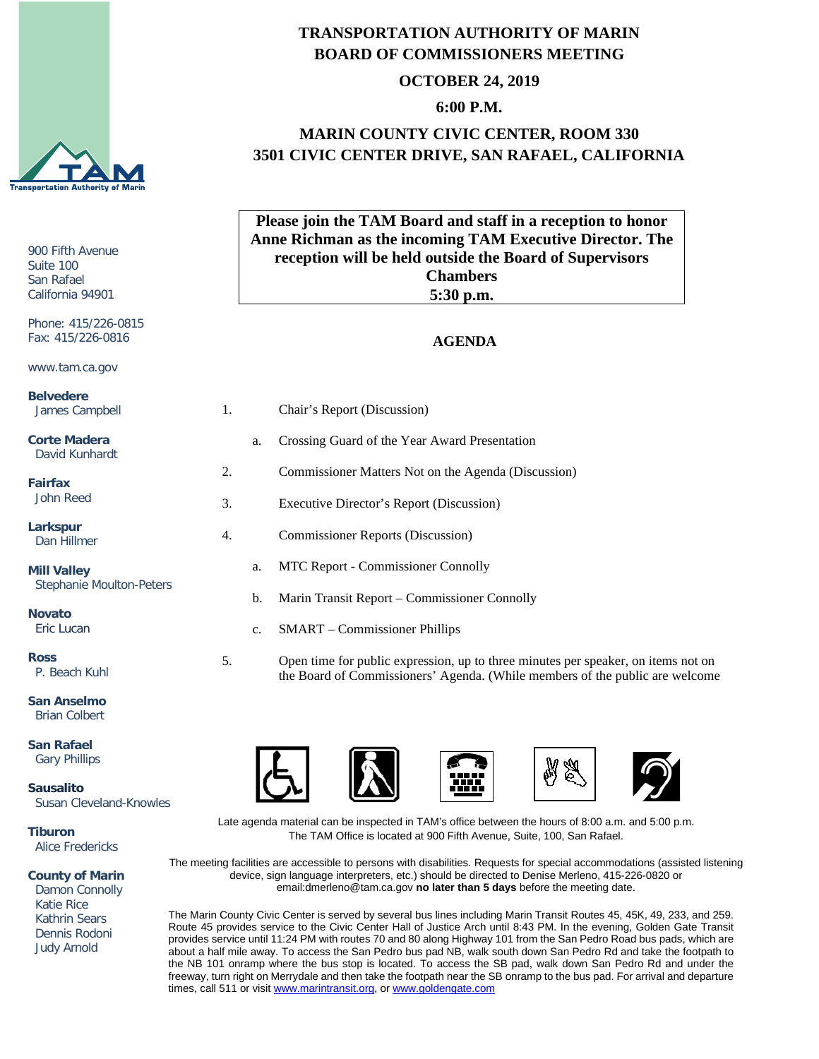

#### 900 Fifth Avenue Suite 100 San Rafael California 94901 Phone: 415/226-0815 Fax: 415/226-0816 www.tam.ca.gov **Belvedere** James Campbell **Corte Madera** David Kunhardt **Fairfax** John Reed **Larkspur AGENDA Anne Richman as the incoming TAM Executive Director. The reception will be held outside the Board of Supervisors Chambers 5:30 p.m.** 1. Chair's Report (Discussion) a. Crossing Guard of the Year Award Presentation 2. Commissioner Matters Not on the Agenda (Discussion) 3. Executive Director's Report (Discussion) 4. Commissioner Reports (Discussion)

a. MTC Report - Commissioner Connolly

c. SMART – Commissioner Phillips

b. Marin Transit Report – Commissioner Connolly

**Mill Valley** Stephanie Moulton-Peters

**Novato** Eric Lucan

Dan Hillmer

**Ross** P. Beach Kuhl

**San Anselmo** Brian Colbert

**San Rafael** Gary Phillips

**Sausalito** Susan Cleveland-Knowles

**Tiburon** Alice Fredericks

**County of Marin**

 Damon Connolly Katie Rice Kathrin Sears Dennis Rodoni Judy Arnold





5. Open time for public expression, up to three minutes per speaker, on items not on

the Board of Commissioners' Agenda. (While members of the public are welcome





Late agenda material can be inspected in TAM's office between the hours of 8:00 a.m. and 5:00 p.m. The TAM Office is located at 900 Fifth Avenue, Suite, 100, San Rafael.

The meeting facilities are accessible to persons with disabilities. Requests for special accommodations (assisted listening device, sign language interpreters, etc.) should be directed to Denise Merleno, 415-226-0820 or email:dmerleno@tam.ca.gov **no later than 5 days** before the meeting date.

The Marin County Civic Center is served by several bus lines including Marin Transit Routes 45, 45K, 49, 233, and 259. Route 45 provides service to the Civic Center Hall of Justice Arch until 8:43 PM. In the evening, Golden Gate Transit provides service until 11:24 PM with routes 70 and 80 along Highway 101 from the San Pedro Road bus pads, which are about a half mile away. To access the San Pedro bus pad NB, walk south down San Pedro Rd and take the footpath to the NB 101 onramp where the bus stop is located. To access the SB pad, walk down San Pedro Rd and under the freeway, turn right on Merrydale and then take the footpath near the SB onramp to the bus pad. For arrival and departure times, call 511 or visit [www.marintransit.org,](file://tamfs2/tam/03.%20TAM%20BOARDS%20&%20COMMITTEES/03.01%20TAM%20Board/03.01.03%20Board%20Packets/www.marintransit.org) o[r www.goldengate.com](file://tamfs2/tam/03.%20TAM%20BOARDS%20&%20COMMITTEES/03.01%20TAM%20Board/03.01.03%20Board%20Packets/www.goldengate.com)

## **TRANSPORTATION AUTHORITY OF MARIN BOARD OF COMMISSIONERS MEETING**

### **OCTOBER 24, 2019**

### **6:00 P.M.**

# **MARIN COUNTY CIVIC CENTER, ROOM 330 3501 CIVIC CENTER DRIVE, SAN RAFAEL, CALIFORNIA**

**Please join the TAM Board and staff in a reception to honor**